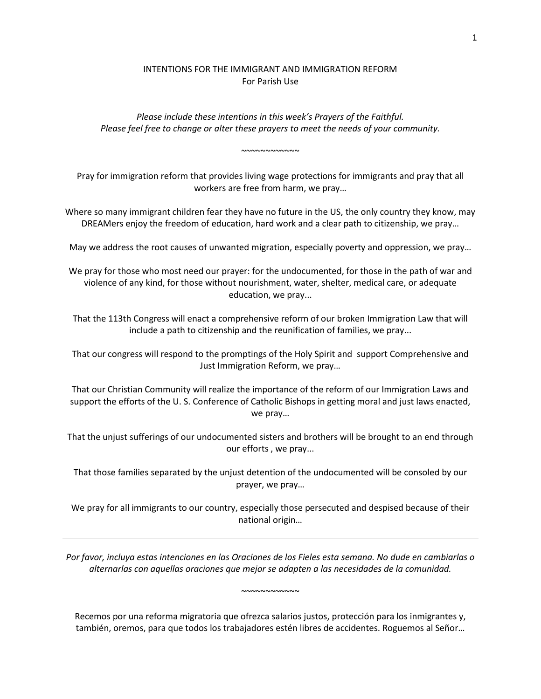# INTENTIONS FOR THE IMMIGRANT AND IMMIGRATION REFORM For Parish Use

*Please include these intentions in this week's Prayers of the Faithful. Please feel free to change or alter these prayers to meet the needs of your community.*

~~~~~~~~~~~~

Pray for immigration reform that provides living wage protections for immigrants and pray that all workers are free from harm, we pray…

Where so many immigrant children fear they have no future in the US, the only country they know, may DREAMers enjoy the freedom of education, hard work and a clear path to citizenship, we pray…

May we address the root causes of unwanted migration, especially poverty and oppression, we pray…

We pray for those who most need our prayer: for the undocumented, for those in the path of war and violence of any kind, for those without nourishment, water, shelter, medical care, or adequate education, we pray...

That the 113th Congress will enact a comprehensive reform of our broken Immigration Law that will include a path to citizenship and the reunification of families, we pray...

That our congress will respond to the promptings of the Holy Spirit and support Comprehensive and Just Immigration Reform, we pray…

That our Christian Community will realize the importance of the reform of our Immigration Laws and support the efforts of the U. S. Conference of Catholic Bishops in getting moral and just laws enacted, we pray…

That the unjust sufferings of our undocumented sisters and brothers will be brought to an end through our efforts , we pray...

That those families separated by the unjust detention of the undocumented will be consoled by our prayer, we pray…

We pray for all immigrants to our country, especially those persecuted and despised because of their national origin…

*Por favor, incluya estas intenciones en las Oraciones de los Fieles esta semana. No dude en cambiarlas o alternarlas con aquellas oraciones que mejor se adapten a las necesidades de la comunidad.*

~~~~~~~~~~~~

Recemos por una reforma migratoria que ofrezca salarios justos, protección para los inmigrantes y, también, oremos, para que todos los trabajadores estén libres de accidentes. Roguemos al Señor…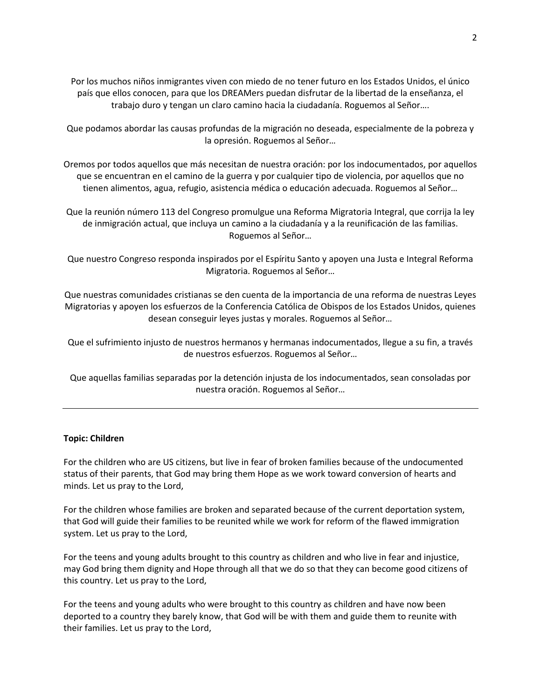Por los muchos niños inmigrantes viven con miedo de no tener futuro en los Estados Unidos, el único país que ellos conocen, para que los DREAMers puedan disfrutar de la libertad de la enseñanza, el trabajo duro y tengan un claro camino hacia la ciudadanía. Roguemos al Señor….

Que podamos abordar las causas profundas de la migración no deseada, especialmente de la pobreza y la opresión. Roguemos al Señor…

Oremos por todos aquellos que más necesitan de nuestra oración: por los indocumentados, por aquellos que se encuentran en el camino de la guerra y por cualquier tipo de violencia, por aquellos que no tienen alimentos, agua, refugio, asistencia médica o educación adecuada. Roguemos al Señor…

Que la reunión número 113 del Congreso promulgue una Reforma Migratoria Integral, que corrija la ley de inmigración actual, que incluya un camino a la ciudadanía y a la reunificación de las familias. Roguemos al Señor…

Que nuestro Congreso responda inspirados por el Espíritu Santo y apoyen una Justa e Integral Reforma Migratoria. Roguemos al Señor…

Que nuestras comunidades cristianas se den cuenta de la importancia de una reforma de nuestras Leyes Migratorias y apoyen los esfuerzos de la Conferencia Católica de Obispos de los Estados Unidos, quienes desean conseguir leyes justas y morales. Roguemos al Señor…

Que el sufrimiento injusto de nuestros hermanos y hermanas indocumentados, llegue a su fin, a través de nuestros esfuerzos. Roguemos al Señor…

Que aquellas familias separadas por la detención injusta de los indocumentados, sean consoladas por nuestra oración. Roguemos al Señor…

#### **Topic: Children**

For the children who are US citizens, but live in fear of broken families because of the undocumented status of their parents, that God may bring them Hope as we work toward conversion of hearts and minds. Let us pray to the Lord,

For the children whose families are broken and separated because of the current deportation system, that God will guide their families to be reunited while we work for reform of the flawed immigration system. Let us pray to the Lord,

For the teens and young adults brought to this country as children and who live in fear and injustice, may God bring them dignity and Hope through all that we do so that they can become good citizens of this country. Let us pray to the Lord,

For the teens and young adults who were brought to this country as children and have now been deported to a country they barely know, that God will be with them and guide them to reunite with their families. Let us pray to the Lord,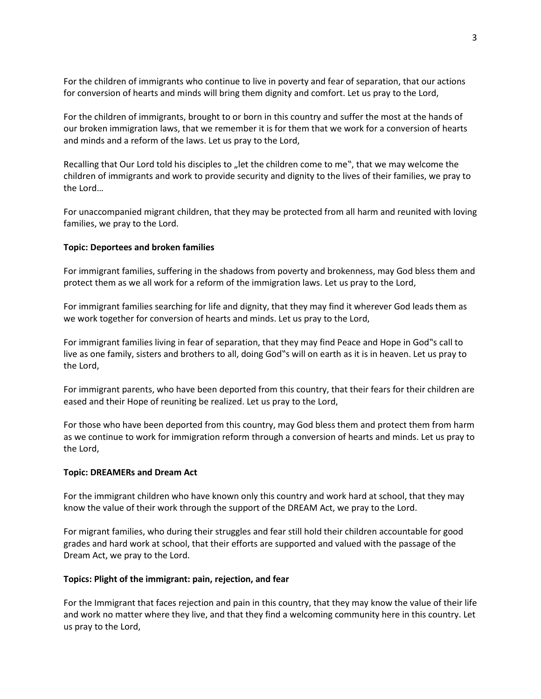For the children of immigrants who continue to live in poverty and fear of separation, that our actions for conversion of hearts and minds will bring them dignity and comfort. Let us pray to the Lord,

For the children of immigrants, brought to or born in this country and suffer the most at the hands of our broken immigration laws, that we remember it is for them that we work for a conversion of hearts and minds and a reform of the laws. Let us pray to the Lord,

Recalling that Our Lord told his disciples to "let the children come to me", that we may welcome the children of immigrants and work to provide security and dignity to the lives of their families, we pray to the Lord…

For unaccompanied migrant children, that they may be protected from all harm and reunited with loving families, we pray to the Lord.

## **Topic: Deportees and broken families**

For immigrant families, suffering in the shadows from poverty and brokenness, may God bless them and protect them as we all work for a reform of the immigration laws. Let us pray to the Lord,

For immigrant families searching for life and dignity, that they may find it wherever God leads them as we work together for conversion of hearts and minds. Let us pray to the Lord,

For immigrant families living in fear of separation, that they may find Peace and Hope in God"s call to live as one family, sisters and brothers to all, doing God"s will on earth as it is in heaven. Let us pray to the Lord,

For immigrant parents, who have been deported from this country, that their fears for their children are eased and their Hope of reuniting be realized. Let us pray to the Lord,

For those who have been deported from this country, may God bless them and protect them from harm as we continue to work for immigration reform through a conversion of hearts and minds. Let us pray to the Lord,

### **Topic: DREAMERs and Dream Act**

For the immigrant children who have known only this country and work hard at school, that they may know the value of their work through the support of the DREAM Act, we pray to the Lord.

For migrant families, who during their struggles and fear still hold their children accountable for good grades and hard work at school, that their efforts are supported and valued with the passage of the Dream Act, we pray to the Lord.

### **Topics: Plight of the immigrant: pain, rejection, and fear**

For the Immigrant that faces rejection and pain in this country, that they may know the value of their life and work no matter where they live, and that they find a welcoming community here in this country. Let us pray to the Lord,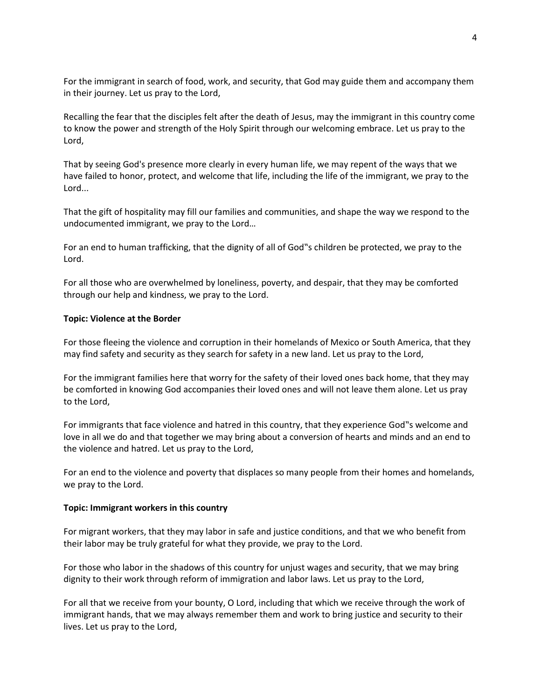For the immigrant in search of food, work, and security, that God may guide them and accompany them in their journey. Let us pray to the Lord,

Recalling the fear that the disciples felt after the death of Jesus, may the immigrant in this country come to know the power and strength of the Holy Spirit through our welcoming embrace. Let us pray to the Lord,

That by seeing God's presence more clearly in every human life, we may repent of the ways that we have failed to honor, protect, and welcome that life, including the life of the immigrant, we pray to the Lord...

That the gift of hospitality may fill our families and communities, and shape the way we respond to the undocumented immigrant, we pray to the Lord…

For an end to human trafficking, that the dignity of all of God"s children be protected, we pray to the Lord.

For all those who are overwhelmed by loneliness, poverty, and despair, that they may be comforted through our help and kindness, we pray to the Lord.

### **Topic: Violence at the Border**

For those fleeing the violence and corruption in their homelands of Mexico or South America, that they may find safety and security as they search for safety in a new land. Let us pray to the Lord,

For the immigrant families here that worry for the safety of their loved ones back home, that they may be comforted in knowing God accompanies their loved ones and will not leave them alone. Let us pray to the Lord,

For immigrants that face violence and hatred in this country, that they experience God"s welcome and love in all we do and that together we may bring about a conversion of hearts and minds and an end to the violence and hatred. Let us pray to the Lord,

For an end to the violence and poverty that displaces so many people from their homes and homelands, we pray to the Lord.

### **Topic: Immigrant workers in this country**

For migrant workers, that they may labor in safe and justice conditions, and that we who benefit from their labor may be truly grateful for what they provide, we pray to the Lord.

For those who labor in the shadows of this country for unjust wages and security, that we may bring dignity to their work through reform of immigration and labor laws. Let us pray to the Lord,

For all that we receive from your bounty, O Lord, including that which we receive through the work of immigrant hands, that we may always remember them and work to bring justice and security to their lives. Let us pray to the Lord,